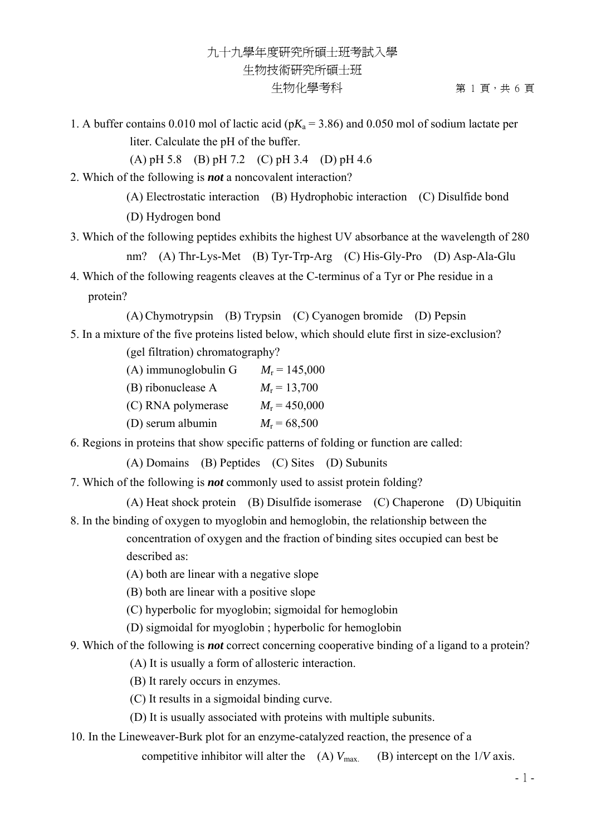1. A buffer contains 0.010 mol of lactic acid ( $pK_a$  = 3.86) and 0.050 mol of sodium lactate per liter. Calculate the pH of the buffer.

(A) pH 5.8 (B) pH 7.2 (C) pH 3.4 (D) pH 4.6

- 2. Which of the following is *not* a noncovalent interaction?
	- (A) Electrostatic interaction (B) Hydrophobic interaction (C) Disulfide bond
	- (D) Hydrogen bond
- 3. Which of the following peptides exhibits the highest UV absorbance at the wavelength of 280 nm? (A) Thr-Lys-Met (B) Tyr-Trp-Arg (C) His-Gly-Pro (D) Asp-Ala-Glu
- 4. Which of the following reagents cleaves at the C-terminus of a Tyr or Phe residue in a protein?

(A) Chymotrypsin (B) Trypsin (C) Cyanogen bromide (D) Pepsin

- 5. In a mixture of the five proteins listed below, which should elute first in size-exclusion? (gel filtration) chromatography?
	- (A) immunoglobulin G  $M_r = 145,000$ (B) ribonuclease A  $M_r = 13,700$ (C) RNA polymerase  $M_r = 450,000$ (D) serum albumin  $M_r = 68,500$
- 6. Regions in proteins that show specific patterns of folding or function are called:

(A) Domains (B) Peptides (C) Sites (D) Subunits

7. Which of the following is *not* commonly used to assist protein folding?

(A) Heat shock protein (B) Disulfide isomerase (C) Chaperone (D) Ubiquitin 8. In the binding of oxygen to myoglobin and hemoglobin, the relationship between the

> concentration of oxygen and the fraction of binding sites occupied can best be described as:

- (A) both are linear with a negative slope
- (B) both are linear with a positive slope
- (C) hyperbolic for myoglobin; sigmoidal for hemoglobin
- (D) sigmoidal for myoglobin ; hyperbolic for hemoglobin
- 9. Which of the following is *not* correct concerning cooperative binding of a ligand to a protein?
	- (A) It is usually a form of allosteric interaction.
	- (B) It rarely occurs in enzymes.
	- (C) It results in a sigmoidal binding curve.
	- (D) It is usually associated with proteins with multiple subunits.
- 10. In the Lineweaver-Burk plot for an enzyme-catalyzed reaction, the presence of a

competitive inhibitor will alter the  $(A)$   $V_{\text{max}}$  (B) intercept on the  $1/V$  axis.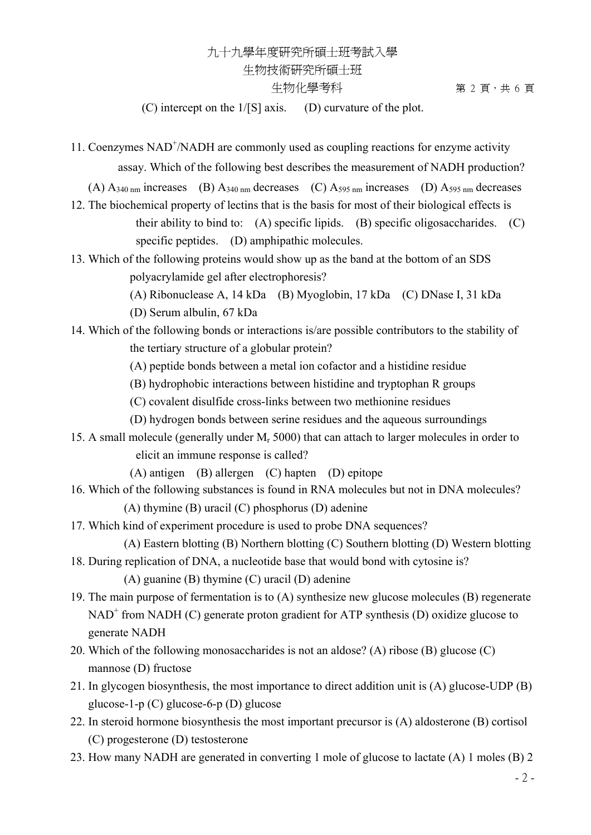## 九十九學年度研究所碩士班考試入學 生物技術研究所碩士班 生物化學考科 第 2 頁,共 6 頁

(C) intercept on the 1/[S] axis. (D) curvature of the plot.

11. Coenzymes NAD<sup>+</sup>/NADH are commonly used as coupling reactions for enzyme activity assay. Which of the following best describes the measurement of NADH production?

(A)  $A_{340 \text{ nm}}$  increases (B)  $A_{340 \text{ nm}}$  decreases (C)  $A_{595 \text{ nm}}$  increases (D)  $A_{595 \text{ nm}}$  decreases

- 12. The biochemical property of lectins that is the basis for most of their biological effects is their ability to bind to:  $(A)$  specific lipids.  $(B)$  specific oligosaccharides.  $(C)$ specific peptides. (D) amphipathic molecules.
- 13. Which of the following proteins would show up as the band at the bottom of an SDS polyacrylamide gel after electrophoresis?
	- (A) Ribonuclease A, 14 kDa (B) Myoglobin, 17 kDa (C) DNase I, 31 kDa
	- (D) Serum albulin, 67 kDa

#### 14. Which of the following bonds or interactions is/are possible contributors to the stability of the tertiary structure of a globular protein?

- (A) peptide bonds between a metal ion cofactor and a histidine residue
- (B) hydrophobic interactions between histidine and tryptophan R groups
- (C) covalent disulfide cross-links between two methionine residues
- (D) hydrogen bonds between serine residues and the aqueous surroundings
- 15. A small molecule (generally under  $M_r$  5000) that can attach to larger molecules in order to elicit an immune response is called?

(A) antigen (B) allergen (C) hapten (D) epitope

- 16. Which of the following substances is found in RNA molecules but not in DNA molecules? (A) thymine (B) uracil (C) phosphorus (D) adenine
- 17. Which kind of experiment procedure is used to probe DNA sequences?

(A) Eastern blotting (B) Northern blotting (C) Southern blotting (D) Western blotting

- 18. During replication of DNA, a nucleotide base that would bond with cytosine is? (A) guanine (B) thymine (C) uracil (D) adenine
- 19. The main purpose of fermentation is to (A) synthesize new glucose molecules (B) regenerate  $NAD<sup>+</sup>$  from NADH (C) generate proton gradient for ATP synthesis (D) oxidize glucose to generate NADH
- 20. Which of the following monosaccharides is not an aldose? (A) ribose (B) glucose (C) mannose (D) fructose
- 21. In glycogen biosynthesis, the most importance to direct addition unit is (A) glucose-UDP (B) glucose-1-p (C) glucose-6-p (D) glucose
- 22. In steroid hormone biosynthesis the most important precursor is (A) aldosterone (B) cortisol (C) progesterone (D) testosterone
- 23. How many NADH are generated in converting 1 mole of glucose to lactate (A) 1 moles (B) 2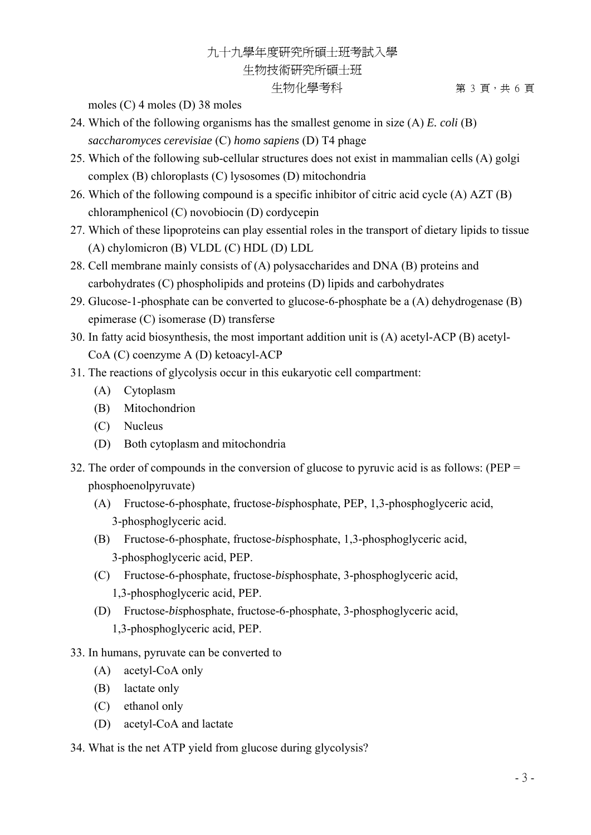## 九十九學年度研究所碩士班考試入學 生物技術研究所碩士班 生物化學考科 第 3 頁,共 6 頁

moles (C) 4 moles (D) 38 moles

- 24. Which of the following organisms has the smallest genome in size (A) *E. coli* (B) *saccharomyces cerevisiae* (C) *homo sapiens* (D) T4 phage
- 25. Which of the following sub-cellular structures does not exist in mammalian cells (A) golgi complex (B) chloroplasts (C) lysosomes (D) mitochondria
- 26. Which of the following compound is a specific inhibitor of citric acid cycle (A) AZT (B) chloramphenicol (C) novobiocin (D) cordycepin
- 27. Which of these lipoproteins can play essential roles in the transport of dietary lipids to tissue (A) chylomicron (B) VLDL (C) HDL (D) LDL
- 28. Cell membrane mainly consists of (A) polysaccharides and DNA (B) proteins and carbohydrates (C) phospholipids and proteins (D) lipids and carbohydrates
- 29. Glucose-1-phosphate can be converted to glucose-6-phosphate be a (A) dehydrogenase (B) epimerase (C) isomerase (D) transferse
- 30. In fatty acid biosynthesis, the most important addition unit is (A) acetyl-ACP (B) acetyl-CoA (C) coenzyme A (D) ketoacyl-ACP
- 31. The reactions of glycolysis occur in this eukaryotic cell compartment:
	- (A) Cytoplasm
	- (B) Mitochondrion
	- (C) Nucleus
	- (D) Both cytoplasm and mitochondria
- 32. The order of compounds in the conversion of glucose to pyruvic acid is as follows: (PEP = phosphoenolpyruvate)
	- (A) Fructose-6-phosphate, fructose-*bis*phosphate, PEP, 1,3-phosphoglyceric acid, 3-phosphoglyceric acid.
	- (B) Fructose-6-phosphate, fructose-*bis*phosphate, 1,3-phosphoglyceric acid, 3-phosphoglyceric acid, PEP.
	- (C) Fructose-6-phosphate, fructose-*bis*phosphate, 3-phosphoglyceric acid, 1,3-phosphoglyceric acid, PEP.
	- (D) Fructose-*bis*phosphate, fructose-6-phosphate, 3-phosphoglyceric acid, 1,3-phosphoglyceric acid, PEP.
- 33. In humans, pyruvate can be converted to
	- (A) acetyl-CoA only
	- (B) lactate only
	- (C) ethanol only
	- (D) acetyl-CoA and lactate
- 34. What is the net ATP yield from glucose during glycolysis?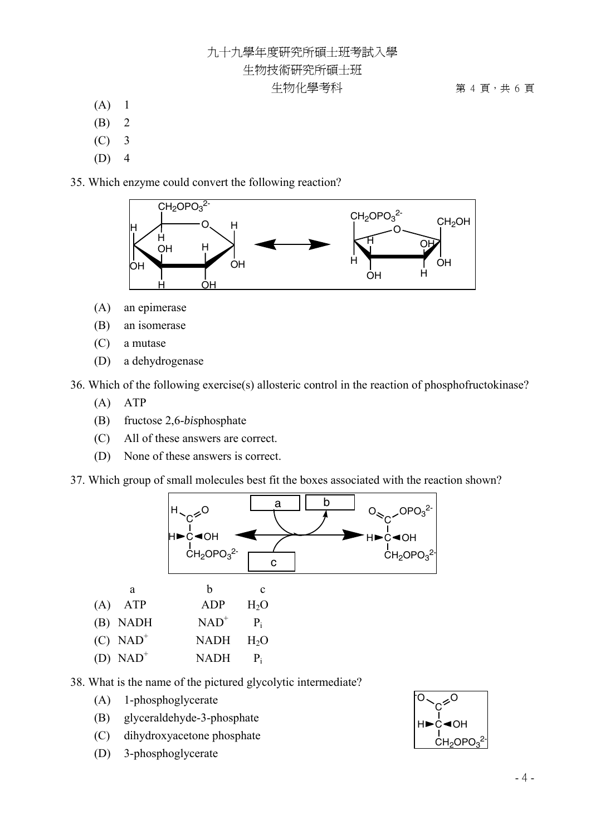## 九十九學年度研究所碩士班考試入學 生物技術研究所碩士班

生物化學考科 第 7 天 7 第 4 頁,共 6 頁

- $(A)$  1
- (B) 2
- $(C)$  3
- $(D)$  4

35. Which enzyme could convert the following reaction?



- (A) an epimerase
- (B)an isomerase
- (C) a mutase
- (D) a dehydrogenase

36. Which of the following exercise(s) allosteric control in the reaction of phosphofructokinase?

- (A) ATP
- (B) fructose 2,6-*bis*phosphate
- (C) All of these answers are correct.
- (D) None of these answers is correct.

37. Which group of small molecules best fit the boxes associated with the reaction shown?



- 38. What is the name of the pictured glycolytic intermediate?
	- (A) 1-phosphoglycerate
	- (B) glyceraldehyde-3-phosphate
	- (C) dihydroxyacetone phosphate
	- (D) 3-phosphoglycerate

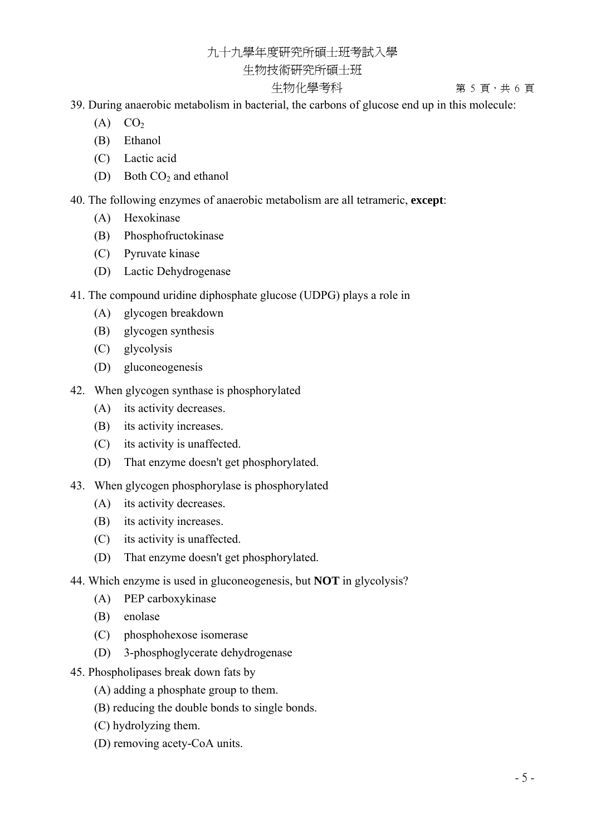## 九十九學年度研究所碩士班考試入學

#### 生物技術研究所碩士班

#### 生物化學考科 第 5 頁,共 6 頁

39. During anaerobic metabolism in bacterial, the carbons of glucose end up in this molecule:

- $(A)$   $CO<sub>2</sub>$
- (B) Ethanol
- (C) Lactic acid
- (D) Both  $CO<sub>2</sub>$  and ethanol

40. The following enzymes of anaerobic metabolism are all tetrameric, **except**:

- (A) Hexokinase
- (B) Phosphofructokinase
- (C) Pyruvate kinase
- (D) Lactic Dehydrogenase
- 41. The compound uridine diphosphate glucose (UDPG) plays a role in
	- (A) glycogen breakdown
	- (B) glycogen synthesis
	- (C) glycolysis
	- (D) gluconeogenesis
- 42. When glycogen synthase is phosphorylated
	- (A) its activity decreases.
	- (B) its activity increases.
	- (C) its activity is unaffected.
	- (D) That enzyme doesn't get phosphorylated.
- 43. When glycogen phosphorylase is phosphorylated
	- (A) its activity decreases.
	- (B) its activity increases.
	- (C) its activity is unaffected.
	- (D) That enzyme doesn't get phosphorylated.
- 44. Which enzyme is used in gluconeogenesis, but **NOT** in glycolysis?
	- (A)PEP carboxykinase
	- (B) enolase
	- (C) phosphohexose isomerase
	- (D) 3-phosphoglycerate dehydrogenase
- 45. Phospholipases break down fats by
	- (A) adding a phosphate group to them.
	- (B) reducing the double bonds to single bonds.
	- (C) hydrolyzing them.
	- (D) removing acety-CoA units.